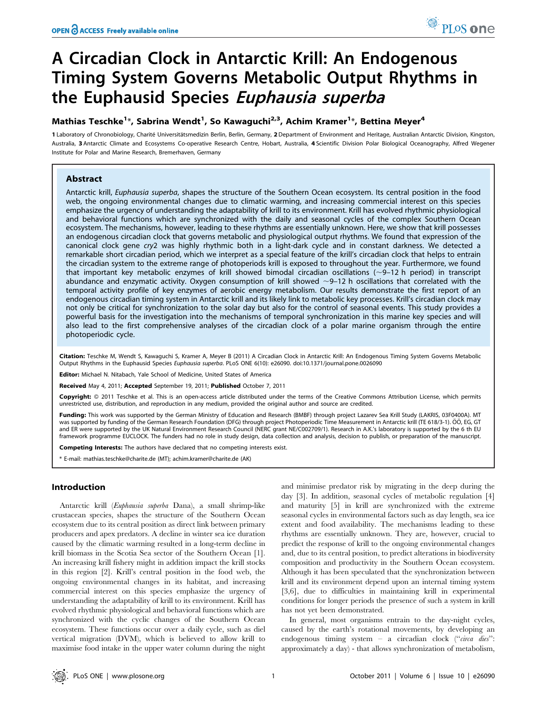# A Circadian Clock in Antarctic Krill: An Endogenous Timing System Governs Metabolic Output Rhythms in the Euphausid Species Euphausia superba

## Mathias Teschke<sup>1</sup>\*, Sabrina Wendt<sup>1</sup>, So Kawaguchi<sup>2,3</sup>, Achim Kramer<sup>1</sup>\*, Bettina Meyer<sup>4</sup>

1 Laboratory of Chronobiology, Charité Universitätsmedizin Berlin, Berlin, Germany, 2 Department of Environment and Heritage, Australian Antarctic Division, Kingston, Australia, 3 Antarctic Climate and Ecosystems Co-operative Research Centre, Hobart, Australia, 4 Scientific Division Polar Biological Oceanography, Alfred Wegener Institute for Polar and Marine Research, Bremerhaven, Germany

## Abstract

Antarctic krill, Euphausia superba, shapes the structure of the Southern Ocean ecosystem. Its central position in the food web, the ongoing environmental changes due to climatic warming, and increasing commercial interest on this species emphasize the urgency of understanding the adaptability of krill to its environment. Krill has evolved rhythmic physiological and behavioral functions which are synchronized with the daily and seasonal cycles of the complex Southern Ocean ecosystem. The mechanisms, however, leading to these rhythms are essentially unknown. Here, we show that krill possesses an endogenous circadian clock that governs metabolic and physiological output rhythms. We found that expression of the canonical clock gene cry2 was highly rhythmic both in a light-dark cycle and in constant darkness. We detected a remarkable short circadian period, which we interpret as a special feature of the krill's circadian clock that helps to entrain the circadian system to the extreme range of photoperiods krill is exposed to throughout the year. Furthermore, we found that important key metabolic enzymes of krill showed bimodal circadian oscillations  $(\sim$ 9-12 h period) in transcript abundance and enzymatic activity. Oxygen consumption of krill showed  $\sim$ 9–12 h oscillations that correlated with the temporal activity profile of key enzymes of aerobic energy metabolism. Our results demonstrate the first report of an endogenous circadian timing system in Antarctic krill and its likely link to metabolic key processes. Krill's circadian clock may not only be critical for synchronization to the solar day but also for the control of seasonal events. This study provides a powerful basis for the investigation into the mechanisms of temporal synchronization in this marine key species and will also lead to the first comprehensive analyses of the circadian clock of a polar marine organism through the entire photoperiodic cycle.

Citation: Teschke M, Wendt S, Kawaguchi S, Kramer A, Meyer B (2011) A Circadian Clock in Antarctic Krill: An Endogenous Timing System Governs Metabolic Output Rhythms in the Euphausid Species Euphausia superba. PLoS ONE 6(10): e26090. doi:10.1371/journal.pone.0026090

Editor: Michael N. Nitabach, Yale School of Medicine, United States of America

Received May 4, 2011; Accepted September 19, 2011; Published October 7, 2011

Copyright: © 2011 Teschke et al. This is an open-access article distributed under the terms of the Creative Commons Attribution License, which permits unrestricted use, distribution, and reproduction in any medium, provided the original author and source are credited.

Funding: This work was supported by the German Ministry of Education and Research (BMBF) through project Lazarev Sea Krill Study (LAKRIS, 03F0400A). MT was supported by funding of the German Research Foundation (DFG) through project Photoperiodic Time Measurement in Antarctic krill (TE 618/3-1). ÖÖ, EG, GT and ER were supported by the UK Natural Environment Research Council (NERC grant NE/C002709/1). Research in A.K.'s laboratory is supported by the 6 th EU framework programme EUCLOCK. The funders had no role in study design, data collection and analysis, decision to publish, or preparation of the manuscript.

Competing Interests: The authors have declared that no competing interests exist.

\* E-mail: mathias.teschke@charite.de (MT); achim.kramer@charite.de (AK)

## Introduction

Antarctic krill (Euphausia superba Dana), a small shrimp-like crustacean species, shapes the structure of the Southern Ocean ecosystem due to its central position as direct link between primary producers and apex predators. A decline in winter sea ice duration caused by the climatic warming resulted in a long-term decline in krill biomass in the Scotia Sea sector of the Southern Ocean [1]. An increasing krill fishery might in addition impact the krill stocks in this region [2]. Krill's central position in the food web, the ongoing environmental changes in its habitat, and increasing commercial interest on this species emphasize the urgency of understanding the adaptability of krill to its environment. Krill has evolved rhythmic physiological and behavioral functions which are synchronized with the cyclic changes of the Southern Ocean ecosystem. These functions occur over a daily cycle, such as diel vertical migration (DVM), which is believed to allow krill to maximise food intake in the upper water column during the night

and minimise predator risk by migrating in the deep during the day [3]. In addition, seasonal cycles of metabolic regulation [4] and maturity [5] in krill are synchronized with the extreme seasonal cycles in environmental factors such as day length, sea ice extent and food availability. The mechanisms leading to these rhythms are essentially unknown. They are, however, crucial to predict the response of krill to the ongoing environmental changes and, due to its central position, to predict alterations in biodiversity composition and productivity in the Southern Ocean ecosystem. Although it has been speculated that the synchronization between krill and its environment depend upon an internal timing system [3,6], due to difficulties in maintaining krill in experimental conditions for longer periods the presence of such a system in krill has not yet been demonstrated.

In general, most organisms entrain to the day-night cycles, caused by the earth's rotational movements, by developing an endogenous timing system – a circadian clock ("circa dies": approximately a day) - that allows synchronization of metabolism,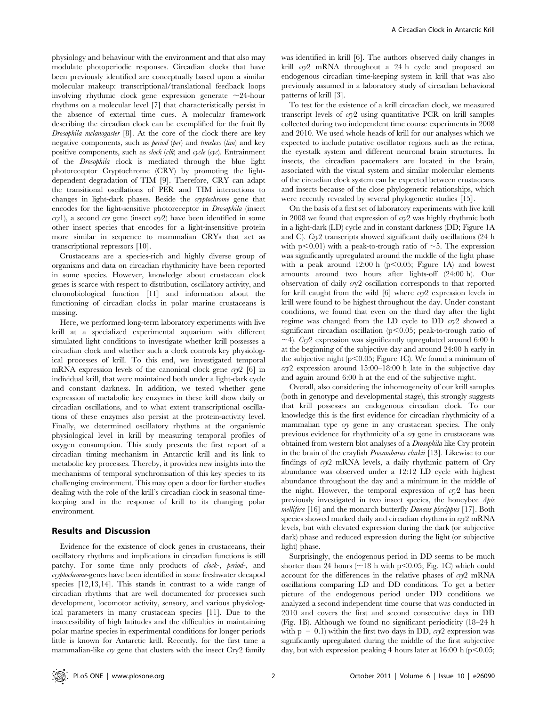physiology and behaviour with the environment and that also may modulate photoperiodic responses. Circadian clocks that have been previously identified are conceptually based upon a similar molecular makeup: transcriptional/translational feedback loops involving rhythmic clock gene expression generate  $\sim$ 24-hour rhythms on a molecular level [7] that characteristically persist in the absence of external time cues. A molecular framework describing the circadian clock can be exemplified for the fruit fly Drosophila melanogaster [8]. At the core of the clock there are key negative components, such as *period* (*per*) and *timeless* (*tim*) and key positive components, such as *clock*  $\langle c\mathbf{k} \rangle$  and  $\langle \mathbf{c} \mathbf{v} \mathbf{c} \rangle$ . Entrainment of the Drosophila clock is mediated through the blue light photoreceptor Cryptochrome (CRY) by promoting the lightdependent degradation of TIM [9]. Therefore, CRY can adapt the transitional oscillations of PER and TIM interactions to changes in light-dark phases. Beside the cryptochrome gene that encodes for the light-sensitive photoreceptor in Drosophila (insect  $\exp(1)$ , a second  $\exp(\cos(\cos(\theta)))$  have been identified in some other insect species that encodes for a light-insensitive protein more similar in sequence to mammalian CRYs that act as transcriptional repressors [10].

Crustaceans are a species-rich and highly diverse group of organisms and data on circadian rhythmicity have been reported in some species. However, knowledge about crustacean clock genes is scarce with respect to distribution, oscillatory activity, and chronobiological function [11] and information about the functioning of circadian clocks in polar marine crustaceans is missing.

Here, we performed long-term laboratory experiments with live krill at a specialized experimental aquarium with different simulated light conditions to investigate whether krill possesses a circadian clock and whether such a clock controls key physiological processes of krill. To this end, we investigated temporal mRNA expression levels of the canonical clock gene cry2 [6] in individual krill, that were maintained both under a light-dark cycle and constant darkness. In addition, we tested whether gene expression of metabolic key enzymes in these krill show daily or circadian oscillations, and to what extent transcriptional oscillations of these enzymes also persist at the protein-activity level. Finally, we determined oscillatory rhythms at the organismic physiological level in krill by measuring temporal profiles of oxygen consumption. This study presents the first report of a circadian timing mechanism in Antarctic krill and its link to metabolic key processes. Thereby, it provides new insights into the mechanisms of temporal synchronisation of this key species to its challenging environment. This may open a door for further studies dealing with the role of the krill's circadian clock in seasonal timekeeping and in the response of krill to its changing polar environment.

#### Results and Discussion

Evidence for the existence of clock genes in crustaceans, their oscillatory rhythms and implications in circadian functions is still patchy. For some time only products of clock-, period-, and cryptochrome-genes have been identified in some freshwater decapod species [12,13,14]. This stands in contrast to a wide range of circadian rhythms that are well documented for processes such development, locomotor activity, sensory, and various physiological parameters in many crustacean species [11]. Due to the inaccessibility of high latitudes and the difficulties in maintaining polar marine species in experimental conditions for longer periods little is known for Antarctic krill. Recently, for the first time a mammalian-like cry gene that clusters with the insect Cry2 family

was identified in krill [6]. The authors observed daily changes in krill cry2 mRNA throughout a 24 h cycle and proposed an endogenous circadian time-keeping system in krill that was also previously assumed in a laboratory study of circadian behavioral patterns of krill [3].

To test for the existence of a krill circadian clock, we measured transcript levels of cry2 using quantitative PCR on krill samples collected during two independent time course experiments in 2008 and 2010. We used whole heads of krill for our analyses which we expected to include putative oscillator regions such as the retina, the eyestalk system and different neuronal brain structures. In insects, the circadian pacemakers are located in the brain, associated with the visual system and similar molecular elements of the circadian clock system can be expected between crustaceans and insects because of the close phylogenetic relationships, which were recently revealed by several phylogenetic studies [15].

On the basis of a first set of laboratory experiments with live krill in 2008 we found that expression of cry2 was highly rhythmic both in a light-dark (LD) cycle and in constant darkness (DD; Figure 1A and C). Cry2 transcripts showed significant daily oscillations (24 h with p $\leq$ 0.01) with a peak-to-trough ratio of  $\sim$ 5. The expression was significantly upregulated around the middle of the light phase with a peak around 12:00 h  $(p<0.05$ ; Figure 1A) and lowest amounts around two hours after lights-off (24:00 h). Our observation of daily cry2 oscillation corresponds to that reported for krill caught from the wild [6] where cry2 expression levels in krill were found to be highest throughout the day. Under constant conditions, we found that even on the third day after the light regime was changed from the LD cycle to DD cry2 showed a significant circadian oscillation ( $p$ <0.05; peak-to-trough ratio of  $\sim$ 4). Cry2 expression was significantly upregulated around 6:00 h at the beginning of the subjective day and around 24:00 h early in the subjective night  $(p<0.05;$  Figure 1C). We found a minimum of  $\frac{c\gamma}{2}$  expression around 15:00–18:00 h late in the subjective day and again around 6:00 h at the end of the subjective night.

Overall, also considering the inhomogeneity of our krill samples (both in genotype and developmental stage), this strongly suggests that krill possesses an endogenous circadian clock. To our knowledge this is the first evidence for circadian rhythmicity of a mammalian type cry gene in any crustacean species. The only previous evidence for rhythmicity of a cry gene in crustaceans was obtained from western blot analyses of a Drosophila like Cry protein in the brain of the crayfish Procambarus clarkii [13]. Likewise to our findings of cry2 mRNA levels, a daily rhythmic pattern of Cry abundance was observed under a 12:12 LD cycle with highest abundance throughout the day and a minimum in the middle of the night. However, the temporal expression of cry2 has been previously investigated in two insect species, the honeybee Apis mellifera [16] and the monarch butterfly Danaus plexippus [17]. Both species showed marked daily and circadian rhythms in  $\ell r$  mRNA levels, but with elevated expression during the dark (or subjective dark) phase and reduced expression during the light (or subjective light) phase.

Surprisingly, the endogenous period in DD seems to be much shorter than 24 hours ( $\sim$ 18 h with p $<$ 0.05; Fig. 1C) which could account for the differences in the relative phases of cry2 mRNA oscillations comparing LD and DD conditions. To get a better picture of the endogenous period under DD conditions we analyzed a second independent time course that was conducted in 2010 and covers the first and second consecutive days in DD (Fig. 1B). Although we found no significant periodicity (18–24 h with  $p = 0.1$ ) within the first two days in DD,  $\alpha v/2$  expression was significantly upregulated during the middle of the first subjective day, but with expression peaking 4 hours later at  $16:00 \text{ h}$  (p $\leq 0.05$ ;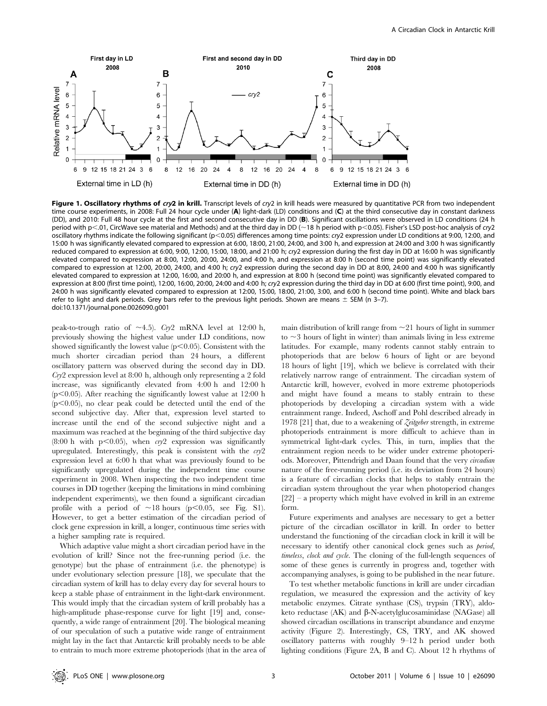

Figure 1. Oscillatory rhythms of cry2 in krill. Transcript levels of cry2 in krill heads were measured by quantitative PCR from two independent time course experiments, in 2008: Full 24 hour cycle under (A) light-dark (LD) conditions and (C) at the third consecutive day in constant darkness (DD), and 2010: Full 48 hour cycle at the first and second consecutive day in DD (B). Significant oscillations were observed in LD conditions (24 h period with p<.01, CircWave see material and Methods) and at the third day in DD (~18 h period with p<0.05). Fisher's LSD post-hoc analysis of cry2 oscillatory rhythms indicate the following significant (p<0.05) differences among time points: cry2 expression under LD conditions at 9:00, 12:00, and 15:00 h was significantly elevated compared to expression at 6:00, 18:00, 21:00, 24:00, and 3:00 h, and expression at 24:00 and 3:00 h was significantly reduced compared to expression at 6:00, 9:00, 12:00, 15:00, 18:00, and 21:00 h; cry2 expression during the first day in DD at 16:00 h was significantly elevated compared to expression at 8:00, 12:00, 20:00, 24:00, and 4:00 h, and expression at 8:00 h (second time point) was significantly elevated compared to expression at 12:00, 20:00, 24:00, and 4:00 h; cry2 expression during the second day in DD at 8:00, 24:00 and 4:00 h was significantly elevated compared to expression at 12:00, 16:00, and 20:00 h, and expression at 8:00 h (second time point) was significantly elevated compared to expression at 8:00 (first time point), 12:00, 16:00, 20:00, 24:00 and 4:00 h; cry2 expression during the third day in DD at 6:00 (first time point), 9:00, and 24:00 h was significantly elevated compared to expression at 12:00, 15:00, 18:00, 21:00, 3:00, and 6:00 h (second time point). White and black bars refer to light and dark periods. Grey bars refer to the previous light periods. Shown are means  $\pm$  SEM (n 3–7). doi:10.1371/journal.pone.0026090.g001

peak-to-trough ratio of  $\sim$ 4.5). Cry2 mRNA level at 12:00 h, previously showing the highest value under LD conditions, now showed significantly the lowest value  $(p<0.05)$ . Consistent with the much shorter circadian period than 24 hours, a different oscillatory pattern was observed during the second day in DD. Cry2 expression level at 8:00 h, although only representing a 2 fold increase, was significantly elevated from 4:00 h and 12:00 h ( $p$ <0.05). After reaching the significantly lowest value at 12:00 h  $(p<0.05)$ , no clear peak could be detected until the end of the second subjective day. After that, expression level started to increase until the end of the second subjective night and a maximum was reached at the beginning of the third subjective day  $(8:00 \text{ h with } p<0.05)$ , when  $\epsilon r/2$  expression was significantly upregulated. Interestingly, this peak is consistent with the  $\epsilon r$  /2 expression level at 6:00 h that what was previously found to be significantly upregulated during the independent time course experiment in 2008. When inspecting the two independent time courses in DD together (keeping the limitations in mind combining independent experiments), we then found a significant circadian profile with a period of  $\sim$ 18 hours (p $\leq$ 0.05, see Fig. S1). However, to get a better estimation of the circadian period of clock gene expression in krill, a longer, continuous time series with a higher sampling rate is required.

Which adaptive value might a short circadian period have in the evolution of krill? Since not the free-running period (i.e. the genotype) but the phase of entrainment (i.e. the phenotype) is under evolutionary selection pressure [18], we speculate that the circadian system of krill has to delay every day for several hours to keep a stable phase of entrainment in the light-dark environment. This would imply that the circadian system of krill probably has a high-amplitude phase-response curve for light [19] and, consequently, a wide range of entrainment [20]. The biological meaning of our speculation of such a putative wide range of entrainment might lay in the fact that Antarctic krill probably needs to be able to entrain to much more extreme photoperiods (that in the area of main distribution of krill range from  $\sim$  21 hours of light in summer to  $\sim$ 3 hours of light in winter) than animals living in less extreme latitudes. For example, many rodents cannot stably entrain to photoperiods that are below 6 hours of light or are beyond 18 hours of light [19], which we believe is correlated with their relatively narrow range of entrainment. The circadian system of Antarctic krill, however, evolved in more extreme photoperiods and might have found a means to stably entrain to these photoperiods by developing a circadian system with a wide entrainment range. Indeed, Aschoff and Pohl described already in 1978 [21] that, due to a weakening of Zeitgeber strength, in extreme photoperiods entrainment is more difficult to achieve than in symmetrical light-dark cycles. This, in turn, implies that the entrainment region needs to be wider under extreme photoperiods. Moreover, Pittendrigh and Daan found that the very circadian nature of the free-running period (i.e. its deviation from 24 hours) is a feature of circadian clocks that helps to stably entrain the circadian system throughout the year when photoperiod changes [22] – a property which might have evolved in krill in an extreme form.

Future experiments and analyses are necessary to get a better picture of the circadian oscillator in krill. In order to better understand the functioning of the circadian clock in krill it will be necessary to identify other canonical clock genes such as period, timeless, clock and cycle. The cloning of the full-length sequences of some of these genes is currently in progress and, together with accompanying analyses, is going to be published in the near future.

To test whether metabolic functions in krill are under circadian regulation, we measured the expression and the activity of key metabolic enzymes. Citrate synthase (CS), trypsin (TRY), aldoketo reductase (AK) and  $\beta$ -N-acetylglucosaminidase (NAGase) all showed circadian oscillations in transcript abundance and enzyme activity (Figure 2). Interestingly, CS, TRY, and AK showed oscillatory patterns with roughly 9–12 h period under both lighting conditions (Figure 2A, B and C). About 12 h rhythms of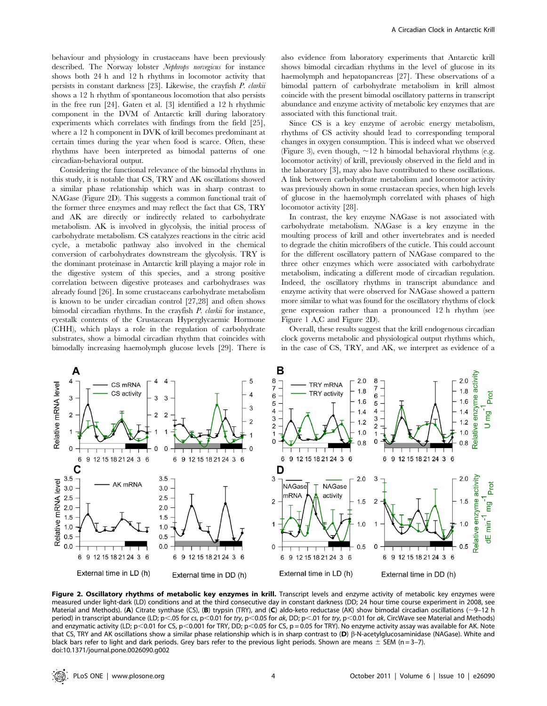behaviour and physiology in crustaceans have been previously described. The Norway lobster Nephrops norvegicus for instance shows both 24 h and 12 h rhythms in locomotor activity that persists in constant darkness [23]. Likewise, the crayfish P. clarkii shows a 12 h rhythm of spontaneous locomotion that also persists in the free run [24]. Gaten et al. [3] identified a 12 h rhythmic component in the DVM of Antarctic krill during laboratory experiments which correlates with findings from the field [25], where a 12 h component in DVK of krill becomes predominant at certain times during the year when food is scarce. Often, these rhythms have been interpreted as bimodal patterns of one circadian-behavioral output.

Considering the functional relevance of the bimodal rhythms in this study, it is notable that CS, TRY and AK oscillations showed a similar phase relationship which was in sharp contrast to NAGase (Figure 2D). This suggests a common functional trait of the former three enzymes and may reflect the fact that CS, TRY and AK are directly or indirectly related to carbohydrate metabolism. AK is involved in glycolysis, the initial process of carbohydrate metabolism. CS catalyzes reactions in the citric acid cycle, a metabolic pathway also involved in the chemical conversion of carbohydrates downstream the glycolysis. TRY is the dominant proteinase in Antarctic krill playing a major role in the digestive system of this species, and a strong positive correlation between digestive proteases and carbohydrases was already found [26]. In some crustaceans carbohydrate metabolism is known to be under circadian control [27,28] and often shows bimodal circadian rhythms. In the crayfish P. clarkii for instance, eyestalk contents of the Crustacean Hyperglycaemic Hormone (CHH), which plays a role in the regulation of carbohydrate substrates, show a bimodal circadian rhythm that coincides with bimodally increasing haemolymph glucose levels [29]. There is also evidence from laboratory experiments that Antarctic krill shows bimodal circadian rhythms in the level of glucose in its haemolymph and hepatopancreas [27]. These observations of a bimodal pattern of carbohydrate metabolism in krill almost coincide with the present bimodal oscillatory patterns in transcript abundance and enzyme activity of metabolic key enzymes that are associated with this functional trait.

Since CS is a key enzyme of aerobic energy metabolism, rhythms of CS activity should lead to corresponding temporal changes in oxygen consumption. This is indeed what we observed (Figure 3), even though,  $\sim$  12 h bimodal behavioral rhythms (e.g. locomotor activity) of krill, previously observed in the field and in the laboratory [3], may also have contributed to these oscillations. A link between carbohydrate metabolism and locomotor activity was previously shown in some crustacean species, when high levels of glucose in the haemolymph correlated with phases of high locomotor activity [28].

In contrast, the key enzyme NAGase is not associated with carbohydrate metabolism. NAGase is a key enzyme in the moulting process of krill and other invertebrates and is needed to degrade the chitin microfibers of the cuticle. This could account for the different oscillatory pattern of NAGase compared to the three other enzymes which were associated with carbohydrate metabolism, indicating a different mode of circadian regulation. Indeed, the oscillatory rhythms in transcript abundance and enzyme activity that were observed for NAGase showed a pattern more similar to what was found for the oscillatory rhythms of clock gene expression rather than a pronounced 12 h rhythm (see Figure 1 A,C and Figure 2D).

Overall, these results suggest that the krill endogenous circadian clock governs metabolic and physiological output rhythms which, in the case of CS, TRY, and AK, we interpret as evidence of a



Figure 2. Oscillatory rhythms of metabolic key enzymes in krill. Transcript levels and enzyme activity of metabolic key enzymes were measured under light-dark (LD) conditions and at the third consecutive day in constant darkness (DD; 24 hour time course experiment in 2008, see Material and Methods). (A) Citrate synthase (CS), (B) trypsin (TRY), and (C) aldo-keto reductase (AK) show bimodal circadian oscillations (~9–12 h period) in transcript abundance (LD; p<.05 for cs, p<0.01 for try, p<0.05 for ak, DD; p<.01 for try, p<0.01 for ak, CircWave see Material and Methods) and enzymatic activity (LD; p<0.01 for CS, p<0.001 for TRY, DD; p<0.05 for CS, p = 0.05 for TRY). No enzyme activity assay was available for AK. Note that CS, TRY and AK oscillations show a similar phase relationship which is in sharp contrast to  $(D)$   $\beta$ -N-acetylglucosaminidase (NAGase). White and black bars refer to light and dark periods. Grey bars refer to the previous light periods. Shown are means  $\pm$  SEM (n = 3–7). doi:10.1371/journal.pone.0026090.g002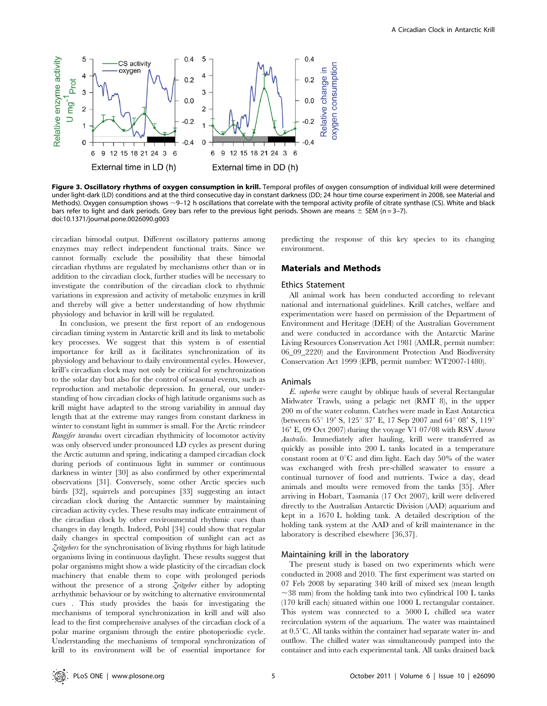

Figure 3. Oscillatory rhythms of oxygen consumption in krill. Temporal profiles of oxygen consumption of individual krill were determined under light-dark (LD) conditions and at the third consecutive day in constant darkness (DD; 24 hour time course experiment in 2008, see Material and Methods). Oxygen consumption shows  $\sim$ 9–12 h oscillations that correlate with the temporal activity profile of citrate synthase (CS). White and black bars refer to light and dark periods. Grey bars refer to the previous light periods. Shown are means  $\pm$  SEM (n = 3–7). doi:10.1371/journal.pone.0026090.g003

circadian bimodal output. Different oscillatory patterns among enzymes may reflect independent functional traits. Since we cannot formally exclude the possibility that these bimodal circadian rhythms are regulated by mechanisms other than or in addition to the circadian clock, further studies will be necessary to investigate the contribution of the circadian clock to rhythmic variations in expression and activity of metabolic enzymes in krill and thereby will give a better understanding of how rhythmic physiology and behavior in krill will be regulated.

In conclusion, we present the first report of an endogenous circadian timing system in Antarctic krill and its link to metabolic key processes. We suggest that this system is of essential importance for krill as it facilitates synchronization of its physiology and behaviour to daily environmental cycles. However, krill's circadian clock may not only be critical for synchronization to the solar day but also for the control of seasonal events, such as reproduction and metabolic depression. In general, our understanding of how circadian clocks of high latitude organisms such as krill might have adapted to the strong variability in annual day length that at the extreme may ranges from constant darkness in winter to constant light in summer is small. For the Arctic reindeer Rangifer tarandus overt circadian rhythmicity of locomotor activity was only observed under pronounced LD cycles as present during the Arctic autumn and spring, indicating a damped circadian clock during periods of continuous light in summer or continuous darkness in winter [30] as also confirmed by other experimental observations [31]. Conversely, some other Arctic species such birds [32], squirrels and porcupines [33] suggesting an intact circadian clock during the Antarctic summer by maintaining circadian activity cycles. These results may indicate entrainment of the circadian clock by other environmental rhythmic cues than changes in day length. Indeed, Pohl [34] could show that regular daily changes in spectral composition of sunlight can act as Zeitgebers for the synchronisation of living rhythms for high latitude organisms living in continuous daylight. These results suggest that polar organisms might show a wide plasticity of the circadian clock machinery that enable them to cope with prolonged periods without the presence of a strong Zeitgeber either by adopting arrhythmic behaviour or by switching to alternative environmental cues . This study provides the basis for investigating the mechanisms of temporal synchronization in krill and will also lead to the first comprehensive analyses of the circadian clock of a polar marine organism through the entire photoperiodic cycle. Understanding the mechanisms of temporal synchronization of krill to its environment will be of essential importance for

predicting the response of this key species to its changing environment.

## Materials and Methods

#### Ethics Statement

All animal work has been conducted according to relevant national and international guidelines. Krill catches, welfare and experimentation were based on permission of the Department of Environment and Heritage (DEH) of the Australian Government and were conducted in accordance with the Antarctic Marine Living Resources Conservation Act 1981 (AMLR, permit number: 06\_09\_2220) and the Environment Protection And Biodiversity Conservation Act 1999 (EPB, permit number: WT2007-1480).

#### Animals

E. superba were caught by oblique hauls of several Rectangular Midwater Trawls, using a pelagic net (RMT 8), in the upper 200 m of the water column. Catches were made in East Antarctica (between 65 $^{\circ}$  19 $^{\prime}$  S, 125 $^{\circ}$  37 $^{\prime}$  E, 17 Sep 2007 and 64 $^{\circ}$  08 $^{\prime}$  S, 119 $^{\circ}$ 16' E, 09 Oct 2007) during the voyage V1 07/08 with RSV Aurora Australis. Immediately after hauling, krill were transferred as quickly as possible into 200 L tanks located in a temperature constant room at  $0^{\circ}$ C and dim light. Each day 50% of the water was exchanged with fresh pre-chilled seawater to ensure a continual turnover of food and nutrients. Twice a day, dead animals and moults were removed from the tanks [35]. After arriving in Hobart, Tasmania (17 Oct 2007), krill were delivered directly to the Australian Antarctic Division (AAD) aquarium and kept in a 1670 L holding tank. A detailed description of the holding tank system at the AAD and of krill maintenance in the laboratory is described elsewhere [36,37].

#### Maintaining krill in the laboratory

The present study is based on two experiments which were conducted in 2008 and 2010. The first experiment was started on 07 Feb 2008 by separating 340 krill of mixed sex (mean length  $\sim$ 38 mm) from the holding tank into two cylindrical 100 L tanks (170 krill each) situated within one 1000 L rectangular container. This system was connected to a 5000 L chilled sea water recirculation system of the aquarium. The water was maintained at  $0.5^{\circ}$ C. All tanks within the container had separate water in- and outflow. The chilled water was simultaneously pumped into the container and into each experimental tank. All tanks drained back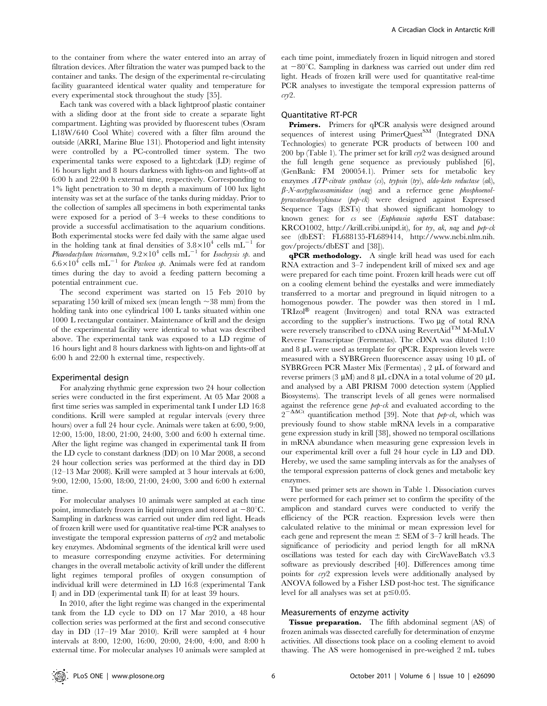to the container from where the water entered into an array of filtration devices. After filtration the water was pumped back to the container and tanks. The design of the experimental re-circulating facility guaranteed identical water quality and temperature for every experimental stock throughout the study [35].

Each tank was covered with a black lightproof plastic container with a sliding door at the front side to create a separate light compartment. Lighting was provided by fluorescent tubes (Osram L18W/640 Cool White) covered with a filter film around the outside (ARRI, Marine Blue 131). Photoperiod and light intensity were controlled by a PC-controlled timer system. The two experimental tanks were exposed to a light:dark (LD) regime of 16 hours light and 8 hours darkness with lights-on and lights-off at 6:00 h and 22:00 h external time, respectively. Corresponding to 1% light penetration to 30 m depth a maximum of 100 lux light intensity was set at the surface of the tanks during midday. Prior to the collection of samples all specimens in both experimental tanks were exposed for a period of 3–4 weeks to these conditions to provide a successful acclimatisation to the aquarium conditions. Both experimental stocks were fed daily with the same algae used in the holding tank at final densities of  $3.8 \times 10^4$  cells mL<sup>-1</sup> for Phaeodactylum tricornutum,  $9.2 \times 10^4$  cells  $mL^{-1}$  for *Isochrysis sp.* and  $6.6\times10^{4}$  cells mL<sup>-1</sup> for *Pavlova sp.* Animals were fed at random times during the day to avoid a feeding pattern becoming a potential entrainment cue.

The second experiment was started on 15 Feb 2010 by separating 150 krill of mixed sex (mean length  $\sim$  38 mm) from the holding tank into one cylindrical 100 L tanks situated within one 1000 L rectangular container. Maintenance of krill and the design of the experimental facility were identical to what was described above. The experimental tank was exposed to a LD regime of 16 hours light and 8 hours darkness with lights-on and lights-off at 6:00 h and 22:00 h external time, respectively.

#### Experimental design

For analyzing rhythmic gene expression two 24 hour collection series were conducted in the first experiment. At 05 Mar 2008 a first time series was sampled in experimental tank I under LD 16:8 conditions. Krill were sampled at regular intervals (every three hours) over a full 24 hour cycle. Animals were taken at 6:00, 9:00, 12:00, 15:00, 18:00, 21:00, 24:00, 3:00 and 6:00 h external time. After the light regime was changed in experimental tank II from the LD cycle to constant darkness (DD) on 10 Mar 2008, a second 24 hour collection series was performed at the third day in DD (12–13 Mar 2008). Krill were sampled at 3 hour intervals at 6:00, 9:00, 12:00, 15:00, 18:00, 21:00, 24:00, 3:00 and 6:00 h external time.

For molecular analyses 10 animals were sampled at each time point, immediately frozen in liquid nitrogen and stored at  $-80^{\circ}$ C. Sampling in darkness was carried out under dim red light. Heads of frozen krill were used for quantitative real-time PCR analyses to investigate the temporal expression patterns of  $\alpha$ <sup>2</sup> and metabolic key enzymes. Abdominal segments of the identical krill were used to measure corresponding enzyme activities. For determining changes in the overall metabolic activity of krill under the different light regimes temporal profiles of oxygen consumption of individual krill were determined in LD 16:8 (experimental Tank I) and in DD (experimental tank II) for at least 39 hours.

In 2010, after the light regime was changed in the experimental tank from the LD cycle to DD on 17 Mar 2010, a 48 hour collection series was performed at the first and second consecutive day in DD (17–19 Mar 2010). Krill were sampled at 4 hour intervals at 8:00, 12:00, 16:00, 20:00, 24:00, 4:00, and 8:00 h external time. For molecular analyses 10 animals were sampled at each time point, immediately frozen in liquid nitrogen and stored at  $-80^{\circ}$ C. Sampling in darkness was carried out under dim red light. Heads of frozen krill were used for quantitative real-time PCR analyses to investigate the temporal expression patterns of cry2.

#### Quantitative RT-PCR

**Primers.** Primers for qPCR analysis were designed around sequences of interest using PrimerQuest<sup>SM</sup> (Integrated DNA Technologies) to generate PCR products of between 100 and 200 bp (Table 1). The primer set for krill  $\ell r v^2$  was designed around the full length gene sequence as previously published [6], (GenBank: FM 200054.1). Primer sets for metabolic key enzymes  $ATP$ -citrate synthase (cs), trypsin (try), aldo-keto reductase (ak),  $\beta$ -N-acetyglucosaminidase (nag) and a refernce gene phosphoenolpyruvatecarboxykinase (pep-ck) were designed against Expressed Sequence Tags (ESTs) that showed significant homology to known genes: for cs see (Euphausia superba EST database: KRCO1002, http://krill.cribi.unipd.it), for try, ak, nag and pep-ck see (dbEST: FL688135-FL689414, http://www.ncbi.nlm.nih. gov/projects/dbEST and [38]).

qPCR methodology. A single krill head was used for each RNA extraction and 3–7 independent krill of mixed sex and age were prepared for each time point. Frozen krill heads were cut off on a cooling element behind the eyestalks and were immediately transferred to a mortar and preground in liquid nitrogen to a homogenous powder. The powder was then stored in 1 mL TRIzol® reagent (Invitrogen) and total RNA was extracted according to the supplier's instructions. Two µg of total RNA were reversely transcribed to cDNA using RevertAid<sup>TM</sup> M-MuLV Reverse Transcriptase (Fermentas). The cDNA was diluted 1:10 and 8  $\mu$ L were used as template for qPCR. Expression levels were measured with a SYBRGreen fluorescence assay using  $10 \mu L$  of SYBRGreen PCR Master Mix (Fermentas),  $2 \mu L$  of forward and reverse primers (3  $\mu$ M) and 8  $\mu$ L cDNA in a total volume of 20  $\mu$ L and analysed by a ABI PRISM 7000 detection system (Applied Biosystems). The transcript levels of all genes were normalised against the reference gene pep-ck and evaluated according to the  $2^{-\Delta\Delta Ct}$  quantification method [39]. Note that *pep-ck*, which was previously found to show stable mRNA levels in a comparative gene expression study in krill [38], showed no temporal oscillations in mRNA abundance when measuring gene expression levels in our experimental krill over a full 24 hour cycle in LD and DD. Hereby, we used the same sampling intervals as for the analyses of the temporal expression patterns of clock genes and metabolic key enzymes.

The used primer sets are shown in Table 1. Dissociation curves were performed for each primer set to confirm the specifity of the amplicon and standard curves were conducted to verify the efficiency of the PCR reaction. Expression levels were then calculated relative to the minimal or mean expression level for each gene and represent the mean  $\pm$  SEM of 3–7 krill heads. The significance of periodicity and period length for all mRNA oscillations was tested for each day with CircWaveBatch v3.3 software as previously described [40]. Differences among time points for cry2 expression levels were additionally analysed by ANOVA followed by a Fisher LSD post-hoc test. The significance level for all analyses was set at  $p \le 0.05$ .

## Measurements of enzyme activity

Tissue preparation. The fifth abdominal segment (AS) of frozen animals was dissected carefully for determination of enzyme activities. All dissections took place on a cooling element to avoid thawing. The AS were homogenised in pre-weighed 2 mL tubes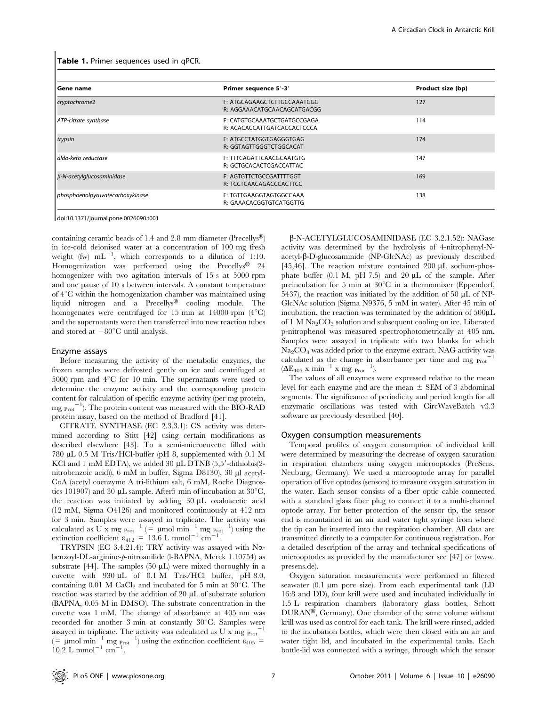#### Table 1. Primer sequences used in qPCR.

| Primer sequence 5'-3'                                      | Product size (bp) |  |
|------------------------------------------------------------|-------------------|--|
| F: ATGCAGAAGCTCTTGCCAAATGGG<br>R: AGGAAACATGCAACAGCATGACGG | 127               |  |
| F: CATGTGCAAATGCTGATGCCGAGA<br>R: ACACACCATTGATCACCACTCCCA | 114               |  |
| F: ATGCCTATGGTGAGGGTGAG<br>R: GGTAGTTGGGTCTGGCACAT         | 174               |  |
| F: TTTCAGATTCAACGCAATGTG<br>R: GCTGCACACTCGACCATTAC        | 147               |  |
| F: AGTGTTCTGCCGATTTTGGT<br>R: TCCTCAACAGACCCACTTCC         | 169               |  |
| F: TGTTGAAGGTAGTGGCCAAA<br>R: GAAACACGGTGTCATGGTTG         | 138               |  |
|                                                            |                   |  |

doi:10.1371/journal.pone.0026090.t001

containing ceramic beads of 1.4 and 2.8 mm diameter (Precellys<sup>®</sup>) in ice-cold deionised water at a concentration of 100 mg fresh weight (fw)  $mL^{-1}$ , which corresponds to a dilution of 1:10. Homogenization was performed using the Precellys<sup>®</sup> 24 homogenizer with two agitation intervals of 15 s at 5000 rpm and one pause of 10 s between intervals. A constant temperature of  $4^{\circ}$ C within the homogenization chamber was maintained using liquid nitrogen and a  $Precellys^{\circledR}$  cooling module. The homogenates were centrifuged for 15 min at 14000 rpm  $(4^{\circ}C)$ and the supernatants were then transferred into new reaction tubes and stored at  $-80^{\circ}$ C until analysis.

#### Enzyme assays

Before measuring the activity of the metabolic enzymes, the frozen samples were defrosted gently on ice and centrifuged at 5000 rpm and  $4^{\circ}$ C for 10 min. The supernatants were used to determine the enzyme activity and the corresponding protein content for calculation of specific enzyme activity (per mg protein, mg <sub>Prot</sub><sup>-1</sup>). The protein content was measured with the BIO-RAD protein assay, based on the method of Bradford [41].

CITRATE SYNTHASE (EC 2.3.3.1): CS activity was determined according to Stitt [42] using certain modifications as described elsewhere [43]. To a semi-microcuvette filled with 780 mL 0.5 M Tris/HCl-buffer (pH 8, supplemented with 0.1 M KCl and 1 mM EDTA), we added 30  $\mu$ L DTNB (5,5'-dithiobis(2nitrobenzoic acid)), 6 mM in buffer, Sigma D8130), 30 µl acetyl-CoA (acetyl coenzyme A tri-lithium salt, 6 mM, Roche Diagnostics 101907) and 30  $\mu$ L sample. After5 min of incubation at 30°C, the reaction was initiated by adding 30  $\mu$ L oxaloacetic acid (12 mM, Sigma O4126) and monitored continuously at 412 nm for 3 min. Samples were assayed in triplicate. The activity was calculated as U x mg  $_{\text{Prot}}^{-1}$  (=  $\mu$ mol min<sup>-1</sup> mg  $_{\text{Prot}}^{-1}$ ) using the extinction coefficient  $\varepsilon_{412}$  = 13.6 L mmol<sup>-1</sup> cm<sup>-</sup> .

TRYPSIN (EC 3.4.21.4): TRY activity was assayed with  $N\alpha$ benzoyl-DL-arginine-p-nitroanilide (l-BAPNA, Merck 1.10754) as substrate [44]. The samples  $(50 \mu L)$  were mixed thoroughly in a cuvette with  $930 \mu L$  of  $0.1 \text{ M}$  Tris/HCl buffer, pH 8.0, containing  $0.01$  M CaCl<sub>2</sub> and incubated for 5 min at 30 $^{\circ}$ C. The reaction was started by the addition of 20  $\mu$ L of substrate solution (BAPNA, 0.05 M in DMSO). The substrate concentration in the cuvette was 1 mM. The change of absorbance at 405 nm was recorded for another 3 min at constantly  $30^{\circ}$ C. Samples were assayed in triplicate. The activity was calculated as U x mg  $_{\text{Prot}}$  $($  =  $\mu$ mol min<sup>-1</sup> mg <sub>Prot</sub><sup>-1</sup>) using the extinction coefficient  $\varepsilon_{405}$  =  $10.2$  L mmol<sup>-1</sup> cm<sup>-1</sup>.

b-N-ACETYLGLUCOSAMINIDASE (EC 3.2.1.52): NAGase activity was determined by the hydrolysis of 4-nitrophenyl-Nacetyl-b-D-glucosaminide (NP-GlcNAc) as previously described [45,46]. The reaction mixture contained 200  $\mu$ L sodium-phosphate buffer  $(0.1 \text{ M}, \text{pH } 7.5)$  and  $20 \mu L$  of the sample. After preincubation for 5 min at  $30^{\circ}$ C in a thermomixer (Eppendorf, 5437), the reaction was initiated by the addition of 50  $\mu$ L of NP-GlcNAc solution (Sigma N9376, 5 mM in water). After 45 min of incubation, the reaction was terminated by the addition of  $500 \mu L$ of 1 M  $\text{Na}_2\text{CO}_3$  solution and subsequent cooling on ice. Liberated p-nitrophenol was measured spectrophotometrically at 405 nm. Samples were assayed in triplicate with two blanks for which  $Na<sub>2</sub>CO<sub>3</sub>$  was added prior to the enzyme extract. NAG activity was calculated as the change in absorbance per time and mg Prot<sup>-</sup>  $(\Delta E_{405}$  x min<sup>-1</sup> x mg  $_{\text{Prot}}^{-1}$ ).

The values of all enzymes were expressed relative to the mean level for each enzyme and are the mean  $\pm$  SEM of 3 abdominal segments. The significance of periodicity and period length for all enzymatic oscillations was tested with CircWaveBatch v3.3 software as previously described [40].

#### Oxygen consumption measurements

Temporal profiles of oxygen consumption of individual krill were determined by measuring the decrease of oxygen saturation in respiration chambers using oxygen microoptodes (PreSens, Neuburg, Germany). We used a microoptode array for parallel operation of five optodes (sensors) to measure oxygen saturation in the water. Each sensor consists of a fiber optic cable connected with a standard glass fiber plug to connect it to a multi-channel optode array. For better protection of the sensor tip, the sensor end is mountained in an air and water tight syringe from where the tip can be inserted into the respiration chamber. All data are transmitted directly to a computer for continuous registration. For a detailed description of the array and technical specifications of microoptodes as provided by the manufacturer see [47] or (www. presens.de).

Oxygen saturation measurements were performed in filtered seawater  $(0.1 \mu m)$  pore size). From each experimental tank  $(LD)$ 16:8 and DD), four krill were used and incubated individually in 1.5 L respiration chambers (laboratory glass bottles, Schott  $DURAN^{\otimes}$ , Germany). One chamber of the same volume without krill was used as control for each tank. The krill were rinsed, added to the incubation bottles, which were then closed with an air and water tight lid, and incubated in the experimental tanks. Each bottle-lid was connected with a syringe, through which the sensor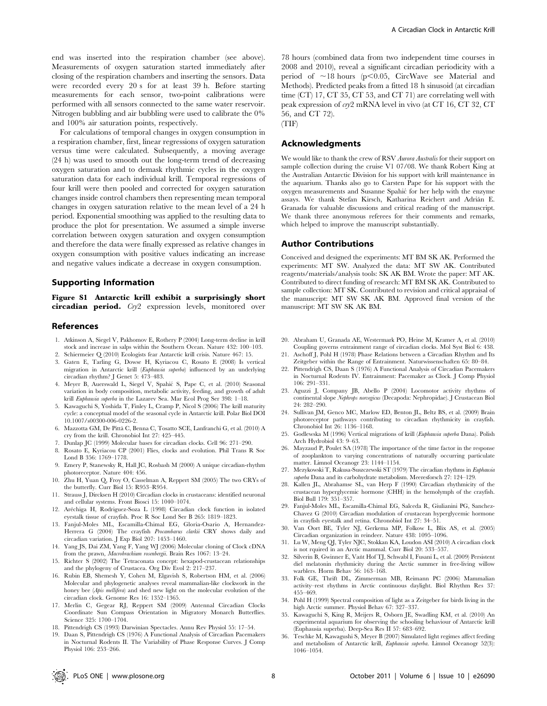end was inserted into the respiration chamber (see above). Measurements of oxygen saturation started immediately after closing of the respiration chambers and inserting the sensors. Data were recorded every 20 s for at least 39 h. Before starting measurements for each sensor, two-point calibrations were performed with all sensors connected to the same water reservoir. Nitrogen bubbling and air bubbling were used to calibrate the 0% and 100% air saturation points, respectively.

For calculations of temporal changes in oxygen consumption in a respiration chamber, first, linear regressions of oxygen saturation versus time were calculated. Subsequently, a moving average (24 h) was used to smooth out the long-term trend of decreasing oxygen saturation and to demask rhythmic cycles in the oxygen saturation data for each individual krill. Temporal regressions of four krill were then pooled and corrected for oxygen saturation changes inside control chambers then representing mean temporal changes in oxygen saturation relative to the mean level of a 24 h period. Exponential smoothing was applied to the resulting data to produce the plot for presentation. We assumed a simple inverse correlation between oxygen saturation and oxygen consumption and therefore the data were finally expressed as relative changes in oxygen consumption with positive values indicating an increase and negative values indicate a decrease in oxygen consumption.

## Supporting Information

Figure S1 Antarctic krill exhibit a surprisingly short circadian period. Cry2 expression levels, monitored over

#### References

- 1. Atkinson A, Siegel V, Pakhomov E, Rothery P (2004) Long-term decline in krill stock and increase in salps within the Southern Ocean. Nature 432: 100–103.
- 2. Schiermeier Q (2010) Ecologists fear Antarctic krill crisis. Nature 467: 15.
- 3. Gaten E, Tarling G, Dowse H, Kyriacou C, Rosato E (2008) Is vertical migration in Antarctic krill (Euphausia superba) influenced by an underlying circadian rhythm? J Genet 5: 473–483.
- 4. Meyer B, Auerswald L, Siegel V, Spahić S, Pape C, et al. (2010) Seasonal variation in body composition, metabolic activity, feeding, and growth of adult krill Euphausia superba in the Lazarev Sea. Mar Ecol Prog Ser 398: 1–18.
- 5. Kawaguchi S, Yoshida T, Finley L, Cramp P, Nicol S (2006) The krill maturity cycle: a conceptual model of the seasonal cycle in Antarctic krill. Polar Biol DOI 10.1007/s00300-006-0226-2.
- 6. Mazzotta GM, De Pitta` C, Benna C, Tosatto SCE, Lanfranchi G, et al. (2010) A cry from the krill. Chronobiol Int 27: 425–445.
- 7. Dunlap JC (1999) Molecular bases for circadian clocks. Cell 96: 271–290.
- 8. Rosato E, Kyriacou CP (2001) Flies, clocks and evolution. Phil Trans R Soc Lond B 356: 1769–1778.
- 9. Emery P, Stanewsky R, Hall JC, Rosbash M (2000) A unique circadian-rhythm photoreceptor. Nature 404: 456.
- 10. Zhu H, Yuan Q, Froy O, Casselman A, Reppert SM (2005) The two CRYs of the butterfly. Curr Biol 15: R953–R954.
- 11. Strauss J, Dircksen H (2010) Circadian clocks in crustaceans: identified neuronal and cellular systems. Front Biosci 15: 1040–1074.
- 12. Are´chiga H, Rodriguez-Soza L (1998) Circadian clock function in isolated eyestalk tissue of crayfish. Proc R Soc Lond Ser B 265: 1819–1823.
- 13. Fanjul-Moles ML, Escamilla-Chimal EG, Gloria-Osario A, Hernandez-Herrera G (2004) The crayfish Procambarus clarkii CRY shows daily and circadian variation. J Exp Biol 207: 1453–1460.
- 14. Yang JS, Dai ZM, Yang F, Yang WJ (2006) Molecular cloning of Clock cDNA from the prawn, Macrobrachium rosenbergii. Brain Res 1067: 13–24.
- 15. Richter S (2002) The Tetraconata concept: hexapod-crustacean relationships and the phylogeny of Crustacea. Org Div Evol 2: 217–237.
- 16. Rubin EB, Shemesh Y, Cohen M, Elgavish S, Robertson HM, et al. (2006) Molecular and phylogenetic analyses reveal mammalian-like clockwork in the honey bee (Apis mellifera) and shed new light on the molecular evolution of the circadian clock. Genome Res 16: 1352–1365.
- 17. Merlin C, Gegear RJ, Reppert SM (2009) Antennal Circadian Clocks Coordinate Sun Compass Orientation in Migratory Monarch Butterflies. Science 325: 1700–1704.
- 18. Pittendrigh CS (1993) Darwinian Spectacles. Annu Rev Physiol 55: 17–54.
- 19. Daan S, Pittendrigh CS (1976) A Functional Analysis of Circadian Pacemakers in Nocturnal Rodents II. The Variability of Phase Response Curves. J Comp Physiol 106: 253–266.

78 hours (combined data from two independent time courses in 2008 and 2010), reveal a significant circadian periodicity with a period of  $\sim$ 18 hours (p $\leq$ 0.05, CircWave see Material and Methods). Predicted peaks from a fitted 18 h sinusoid (at circadian time (CT) 17, CT 35, CT 53, and CT 71) are correlating well with peak expression of cry2 mRNA level in vivo (at CT 16, CT 32, CT 56, and CT 72).

(TIF)

#### Acknowledgments

We would like to thank the crew of RSV Aurora Australis for their support on sample collection during the cruise V1 07/08. We thank Robert King at the Australian Antarctic Division for his support with krill maintenance in the aquarium. Thanks also go to Carsten Pape for his support with the oxygen measurements and Susanne Spahic´ for her help with the enzyme assays. We thank Stefan Kirsch, Katharina Reichert and Adrián E. Granada for valuable discussions and critical reading of the manuscript. We thank three anonymous referees for their comments and remarks, which helped to improve the manuscript substantially.

#### Author Contributions

Conceived and designed the experiments: MT BM SK AK. Performed the experiments: MT SW. Analyzed the data: MT SW AK. Contributed reagents/materials/analysis tools: SK AK BM. Wrote the paper: MT AK. Contributed to direct funding of research: MT BM SK AK. Contributed to sample collection: MT SK. Contributed to revision and critical appraisal of the manuscript: MT SW SK AK BM. Approved final version of the manuscript: MT SW SK AK BM.

- 20. Abraham U, Granada AE, Westermark PO, Heine M, Kramer A, et al. (2010) Coupling governs entrainment range of circadian clocks. Mol Syst Biol 6: 438.
- 21. Aschoff J, Pohl H (1978) Phase Relations between a Circadian Rhythm and Its Zeitgeber within the Range of Entrainment. Naturwissenschaften 65: 80–84.
- 22. Pittendrigh CS, Daan S (1976) A Functional Analysis of Circadian Pacemakers in Nocturnal Rodents IV. Entrainment: Pacemaker as Clock. J Comp Physiol 106: 291–331.
- 23. Aguzzi J, Company JB, Abello P (2004) Locomotor activity rhythms of continental slope Nephrops norvegicus (Decapoda: Nephropidae). J Crustacean Biol 24: 282–290.
- 24. Sullivan JM, Genco MC, Marlow ED, Benton JL, Beltz BS, et al. (2009) Brain photoreceptor pathways contributing to circadian rhythmicity in crayfish. Chronobiol Int 26: 1136–1168.
- 25. Godlewska M (1996) Vertical migrations of krill (Euphausia superba Dana). Polish Arch Hydrobiol 43: 9–63.
- 26. Mayzaud P, Poulet SA (1978) The importance of the time factor in the response of zooplankton to varying concentrations of naturally occurring particulate matter. Limnol Oceanogr 23: 1144–1154.
- 27. Mezykowski T, Rakusa-Suszczewski ST (1979) The circadian rhythms in Euphausia superba Dana and its carbohydrate metabolism. Meeresforsch 27: 124–129.
- 28. Kallen JL, Abrahamse SL, van Herp F (1990) Circadian rhythmicity of the crustacean hyperglycemic hormone (CHH) in the hemolymph of the crayfish. Biol Bull 179: 351–357.
- 29. Fanjul-Moles ML, Escamilla-Chimal EG, Salceda R, Giulianini PG, Sanchez-Chavez G (2010) Circadian modulation of crustacean hyperglycemic hormone in crayfish eyestalk and retina. Chronobiol Int 27: 34–51.
- 30. Van Oort BE, Tyler NJ, Gerkema MP, Folkow L, Blix AS, et al. (2005) Circadian organization in reindeer. Nature 438: 1095–1096.
- 31. Lu W, Meng QJ, Tyler NJC, Stokkan KA, Loudon ASI (2010) A circadian clock is not rquired in an Arctic mammal. Curr Biol 20: 533–537.
- 32. Silverin B, Gwinner E, Van`t Hof TJ, Schwabl I, Fusani L, et al. (2009) Persistent diel melatonin rhythmicity during the Arctic summer in free-living willow warblers. Horm Behav 56: 163–168.
- 33. Folk GE, Thrift DL, Zimmerman MB, Reimann PC (2006) Mammalian activity–rest rhythms in Arctic continuous daylight. Biol Rhythm Res 37: 455–469.
- 34. Pohl H (1999) Spectral composition of light as a Zeitgeber for birds living in the high Arctic summer. Physiol Behav 67: 327–337.
- 35. Kawaguchi S, King R, Meijers R, Osborn JE, Swadling KM, et al. (2010) An experimental aquarium for observing the schooling behaviour of Antarctic krill (Euphausia superba). Deep-Sea Res II 57: 683–692.
- 36. Teschke M, Kawagushi S, Meyer B (2007) Simulated light regimes affect feeding and metabolism of Antarctic krill, Euphausia superba. Limnol Oceanogr 52(3): 1046–1054.